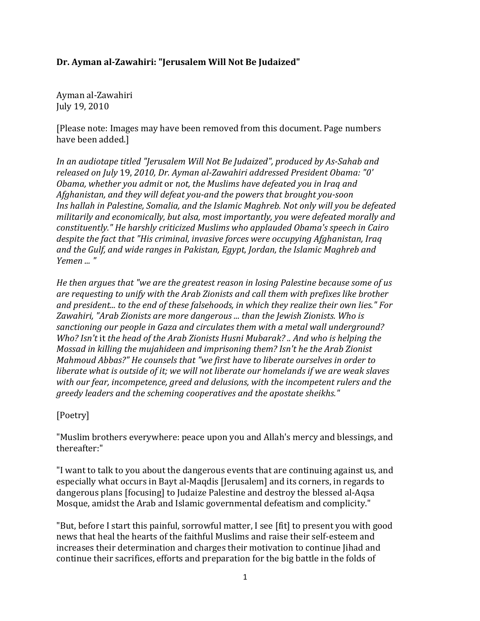### **Dr. Ayman al-Zawahiri: "Jerusalem Will Not Be Judaized"**

Ayman al-Zawahiri July 19, 2010

[Please note: Images may have been removed from this document. Page numbers have been added.]

*In an audiotape titled "Jerusalem Will Not Be Judaized", produced by As-Sahab and released on July* 19, *2010, Dr. Ayman al-Zawahiri addressed President Obama: "0' Obama, whether you admit* or *not, the Muslims have defeated you in Iraq and Afghanistan, and they will defeat you-and the powers that brought you-soon Ins hallah in Palestine, Somalia, and the Islamic Maghreb. Not only will you be defeated militarily and economically, but alsa, most importantly, you were defeated morally and constituently." He harshly criticized Muslims who applauded Obama's speech in Cairo despite the fact that "His criminal, invasive forces were occupying Afghanistan, Iraq and the Gulf, and wide ranges in Pakistan, Egypt, Jordan, the Islamic Maghreb and Yemen ... "*

*He then argues that "we are the greatest reason in losing Palestine because some of us are requesting to unify with the Arab Zionists and call them with prefixes like brother and president... to the end of these falsehoods, in which they realize their own lies." For Zawahiri, "Arab Zionists are more dangerous ... than the Jewish Zionists. Who is sanctioning our people in Gaza and circulates them with a metal wall underground? Who? Isn't* it *the head of the Arab Zionists Husni Mubarak? .. And who is helping the Mossad in killing the mujahideen and imprisoning them? Isn't he the Arab Zionist Mahmoud Abbas?" He counsels that "we first have to liberate ourselves in order to liberate what is outside of it; we will not liberate our homelands if we are weak slaves with our fear, incompetence, greed and delusions, with the incompetent rulers and the greedy leaders and the scheming cooperatives and the apostate sheikhs."*

[Poetry]

"Muslim brothers everywhere: peace upon you and Allah's mercy and blessings, and thereafter:"

"I want to talk to you about the dangerous events that are continuing against us, and especially what occurs in Bayt al-Maqdis [Jerusalem] and its corners, in regards to dangerous plans [focusing] to Judaize Palestine and destroy the blessed al-Aqsa Mosque, amidst the Arab and Islamic governmental defeatism and complicity."

"But, before I start this painful, sorrowful matter, I see [fit] to present you with good news that heal the hearts of the faithful Muslims and raise their self-esteem and increases their determination and charges their motivation to continue Jihad and continue their sacrifices, efforts and preparation for the big battle in the folds of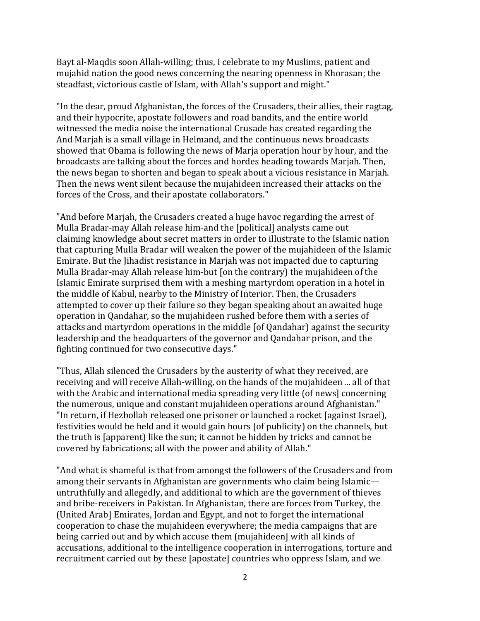Bayt al-Maqdis soon Allah-willing; thus, I celebrate to my Muslims, patient and mujahid nation the good news concerning the nearing openness in Khorasan; the steadfast, victorious castle of Islam, with Allah's support and might."

"In the dear, proud Afghanistan, the forces of the Crusaders, their allies, their ragtag, and their hypocrite, apostate followers and road bandits, and the entire world witnessed the media noise the international Crusade has created regarding the And Marjah is a small village in Helmand, and the continuous news broadcasts showed that Obama is following the news of Marja operation hour by hour, and the broadcasts are talking about the forces and hordes heading towards Marjah. Then, the news began to shorten and began to speak about a vicious resistance in Marjah. Then the news went silent because the mujahideen increased their attacks on the forces of the Cross, and their apostate collaborators."

"And before Marjah, the Crusaders created a huge havoc regarding the arrest of Mulla Bradar-may Allah release him-and the [political] analysts came out claiming knowledge about secret matters in order to illustrate to the Islamic nation that capturing Mulla Bradar will weaken the power of the mujahideen of the Islamic Emirate. But the Jihadist resistance in Marjah was not impacted due to capturing Mulla Bradar-may Allah release him-but [on the contrary) the mujahideen of the Islamic Emirate surprised them with a meshing martyrdom operation in a hotel in the middle of Kabul, nearby to the Ministry of Interior. Then, the Crusaders attempted to cover up their failure so they began speaking about an awaited huge operation in Qandahar, so the mujahideen rushed before them with a series of attacks and martyrdom operations in the middle [of Qandahar) against the security leadership and the headquarters of the governor and Qandahar prison, and the fighting continued for two consecutive days."

"Thus, Allah silenced the Crusaders by the austerity of what they received, are receiving and will receive Allah-willing, on the hands of the mujahideen ... all of that with the Arabic and international media spreading very little (of news) concerning the numerous, unique and constant mujahideen operations around Afghanistan." "In return, if Hezbollah released one prisoner or launched a rocket [against Israel), festivities would be held and it would gain hours [of publicity) on the channels, but the truth is [apparent) like the sun; it cannot be hidden by tricks and cannot be covered by fabrications; all with the power and ability of Allah."

"And what is shameful is that from amongst the followers of the Crusaders and from among their servants in Afghanistan are governments who claim being Islamic untruthfully and allegedly, and additional to which are the government of thieves and bribe-receivers in Pakistan. In Afghanistan, there are forces from Turkey, the (United Arab] Emirates, Jordan and Egypt, and not to forget the international cooperation to chase the mujahideen everywhere; the media campaigns that are being carried out and by which accuse them (mujahideen] with all kinds of accusations, additional to the intelligence cooperation in interrogations, torture and recruitment carried out by these [apostate] countries who oppress Islam, and we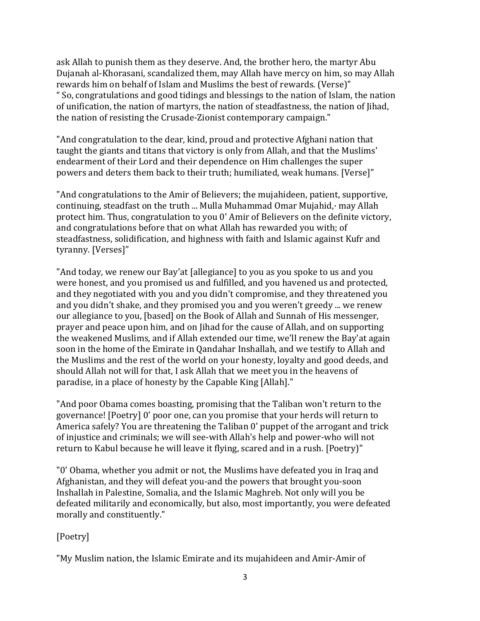ask Allah to punish them as they deserve. And, the brother hero, the martyr Abu Dujanah al-Khorasani, scandalized them, may Allah have mercy on him, so may Allah rewards him on behalf of Islam and Muslims the best of rewards. (Verse)" " So, congratulations and good tidings and blessings to the nation of Islam, the nation of unification, the nation of martyrs, the nation of steadfastness, the nation of Jihad, the nation of resisting the Crusade-Zionist contemporary campaign."

"And congratulation to the dear, kind, proud and protective Afghani nation that taught the giants and titans that victory is only from Allah, and that the Muslims' endearment of their Lord and their dependence on Him challenges the super powers and deters them back to their truth; humiliated, weak humans. [Verse]"

"And congratulations to the Amir of Believers; the mujahideen, patient, supportive, continuing, steadfast on the truth ... Mulla Muhammad Omar Mujahid,· may Allah protect him. Thus, congratulation to you 0' Amir of Believers on the definite victory, and congratulations before that on what Allah has rewarded you with; of steadfastness, solidification, and highness with faith and Islamic against Kufr and tyranny. [Verses]"

"And today, we renew our Bay'at [allegiance] to you as you spoke to us and you were honest, and you promised us and fulfilled, and you havened us and protected, and they negotiated with you and you didn't compromise, and they threatened you and you didn't shake, and they promised you and you weren't greedy ... we renew our allegiance to you, [based] on the Book of Allah and Sunnah of His messenger, prayer and peace upon him, and on Jihad for the cause of Allah, and on supporting the weakened Muslims, and if Allah extended our time, we'll renew the Bay'at again soon in the home of the Emirate in Qandahar Inshallah, and we testify to Allah and the Muslims and the rest of the world on your honesty, loyalty and good deeds, and should Allah not will for that, I ask Allah that we meet you in the heavens of paradise, in a place of honesty by the Capable King [Allah]."

"And poor Obama comes boasting, promising that the Taliban won't return to the governance! [Poetry] 0' poor one, can you promise that your herds will return to America safely? You are threatening the Taliban 0' puppet of the arrogant and trick of injustice and criminals; we will see-with Allah's help and power-who will not return to Kabul because he will leave it flying, scared and in a rush. [Poetry)"

"0' Obama, whether you admit or not, the Muslims have defeated you in Iraq and Afghanistan, and they will defeat you-and the powers that brought you-soon Inshallah in Palestine, Somalia, and the Islamic Maghreb. Not only will you be defeated militarily and economically, but also, most importantly, you were defeated morally and constituently."

# [Poetry]

"My Muslim nation, the Islamic Emirate and its mujahideen and Amir-Amir of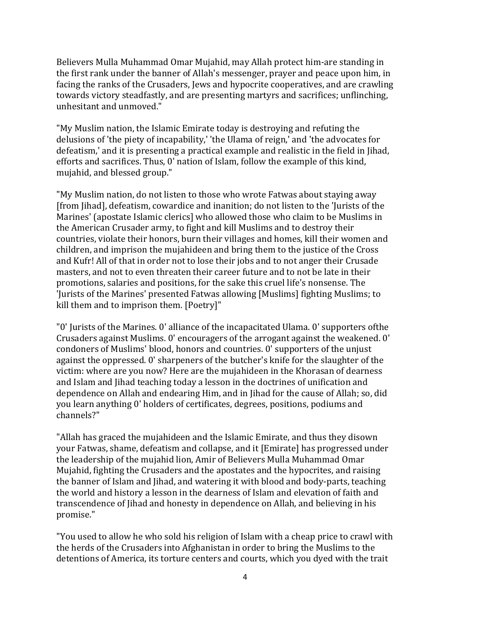Believers Mulla Muhammad Omar Mujahid, may Allah protect him-are standing in the first rank under the banner of Allah's messenger, prayer and peace upon him, in facing the ranks of the Crusaders, Jews and hypocrite cooperatives, and are crawling towards victory steadfastly, and are presenting martyrs and sacrifices; unflinching, unhesitant and unmoved."

"My Muslim nation, the Islamic Emirate today is destroying and refuting the delusions of 'the piety of incapability,' 'the Ulama of reign,' and 'the advocates for defeatism,' and it is presenting a practical example and realistic in the field in Jihad, efforts and sacrifices. Thus, 0' nation of Islam, follow the example of this kind, mujahid, and blessed group."

"My Muslim nation, do not listen to those who wrote Fatwas about staying away [from Jihad], defeatism, cowardice and inanition; do not listen to the 'Jurists of the Marines' (apostate Islamic clerics] who allowed those who claim to be Muslims in the American Crusader army, to fight and kill Muslims and to destroy their countries, violate their honors, burn their villages and homes, kill their women and children, and imprison the mujahideen and bring them to the justice of the Cross and Kufr! All of that in order not to lose their jobs and to not anger their Crusade masters, and not to even threaten their career future and to not be late in their promotions, salaries and positions, for the sake this cruel life's nonsense. The 'Jurists of the Marines' presented Fatwas allowing [Muslims] fighting Muslims; to kill them and to imprison them. [Poetry]"

"0' Jurists of the Marines. 0' alliance of the incapacitated Ulama. 0' supporters ofthe Crusaders against Muslims. 0' encouragers of the arrogant against the weakened. 0' condoners of Muslims' blood, honors and countries. 0' supporters of the unjust against the oppressed. 0' sharpeners of the butcher's knife for the slaughter of the victim: where are you now? Here are the mujahideen in the Khorasan of dearness and Islam and Jihad teaching today a lesson in the doctrines of unification and dependence on Allah and endearing Him, and in Jihad for the cause of Allah; so, did you learn anything 0' holders of certificates, degrees, positions, podiums and channels?"

"Allah has graced the mujahideen and the Islamic Emirate, and thus they disown your Fatwas, shame, defeatism and collapse, and it [Emirate] has progressed under the leadership of the mujahid lion, Amir of Believers Mulla Muhammad Omar Mujahid, fighting the Crusaders and the apostates and the hypocrites, and raising the banner of Islam and Jihad, and watering it with blood and body-parts, teaching the world and history a lesson in the dearness of Islam and elevation of faith and transcendence of Jihad and honesty in dependence on Allah, and believing in his promise."

"You used to allow he who sold his religion of Islam with a cheap price to crawl with the herds of the Crusaders into Afghanistan in order to bring the Muslims to the detentions of America, its torture centers and courts, which you dyed with the trait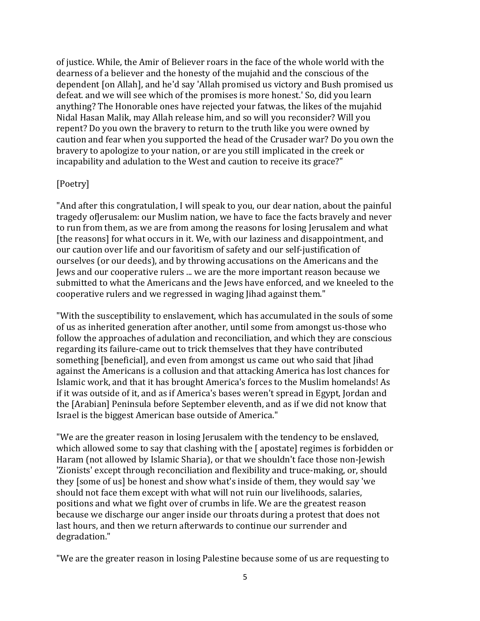of justice. While, the Amir of Believer roars in the face of the whole world with the dearness of a believer and the honesty of the mujahid and the conscious of the dependent [on Allah], and he'd say 'Allah promised us victory and Bush promised us defeat. and we will see which of the promises is more honest.' So, did you learn anything? The Honorable ones have rejected your fatwas, the likes of the mujahid Nidal Hasan Malik, may Allah release him, and so will you reconsider? Will you repent? Do you own the bravery to return to the truth like you were owned by caution and fear when you supported the head of the Crusader war? Do you own the bravery to apologize to your nation, or are you still implicated in the creek or incapability and adulation to the West and caution to receive its grace?"

#### [Poetry]

"And after this congratulation, I will speak to you, our dear nation, about the painful tragedy ofJerusalem: our Muslim nation, we have to face the facts bravely and never to run from them, as we are from among the reasons for losing Jerusalem and what [the reasons] for what occurs in it. We, with our laziness and disappointment, and our caution over life and our favoritism of safety and our self-justification of ourselves (or our deeds), and by throwing accusations on the Americans and the Jews and our cooperative rulers ... we are the more important reason because we submitted to what the Americans and the Jews have enforced, and we kneeled to the cooperative rulers and we regressed in waging Jihad against them."

"With the susceptibility to enslavement, which has accumulated in the souls of some of us as inherited generation after another, until some from amongst us-those who follow the approaches of adulation and reconciliation, and which they are conscious regarding its failure-came out to trick themselves that they have contributed something [beneficial], and even from amongst us came out who said that Jihad against the Americans is a collusion and that attacking America has lost chances for Islamic work, and that it has brought America's forces to the Muslim homelands! As if it was outside of it, and as if America's bases weren't spread in Egypt, Jordan and the [Arabian] Peninsula before September eleventh, and as if we did not know that Israel is the biggest American base outside of America."

"We are the greater reason in losing Jerusalem with the tendency to be enslaved, which allowed some to say that clashing with the [ apostate] regimes is forbidden or Haram (not allowed by Islamic Sharia), or that we shouldn't face those non-Jewish 'Zionists' except through reconciliation and flexibility and truce-making, or, should they [some of us] be honest and show what's inside of them, they would say 'we should not face them except with what will not ruin our livelihoods, salaries, positions and what we fight over of crumbs in life. We are the greatest reason because we discharge our anger inside our throats during a protest that does not last hours, and then we return afterwards to continue our surrender and degradation."

"We are the greater reason in losing Palestine because some of us are requesting to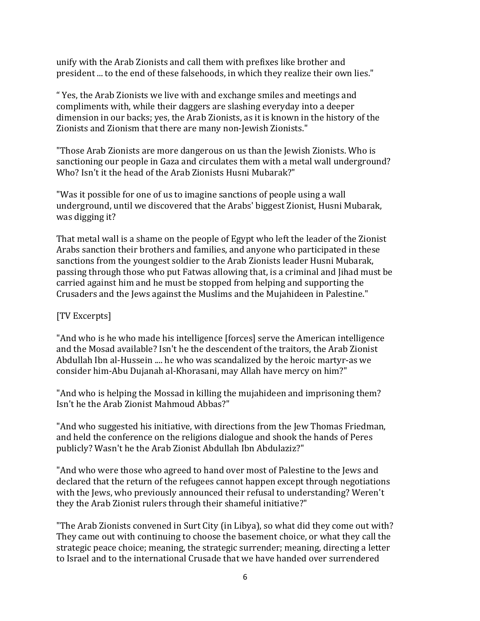unify with the Arab Zionists and call them with prefixes like brother and president ... to the end of these falsehoods, in which they realize their own lies."

" Yes, the Arab Zionists we live with and exchange smiles and meetings and compliments with, while their daggers are slashing everyday into a deeper dimension in our backs; yes, the Arab Zionists, as it is known in the history of the Zionists and Zionism that there are many non-Jewish Zionists."

"Those Arab Zionists are more dangerous on us than the Jewish Zionists. Who is sanctioning our people in Gaza and circulates them with a metal wall underground? Who? Isn't it the head of the Arab Zionists Husni Mubarak?"

"Was it possible for one of us to imagine sanctions of people using a wall underground, until we discovered that the Arabs' biggest Zionist, Husni Mubarak, was digging it?

That metal wall is a shame on the people of Egypt who left the leader of the Zionist Arabs sanction their brothers and families, and anyone who participated in these sanctions from the youngest soldier to the Arab Zionists leader Husni Mubarak, passing through those who put Fatwas allowing that, is a criminal and Jihad must be carried against him and he must be stopped from helping and supporting the Crusaders and the Jews against the Muslims and the Mujahideen in Palestine."

# [TV Excerpts]

"And who is he who made his intelligence [forces] serve the American intelligence and the Mosad available? Isn't he the descendent of the traitors, the Arab Zionist Abdullah Ibn al-Hussein .... he who was scandalized by the heroic martyr-as we consider him-Abu Dujanah al-Khorasani, may Allah have mercy on him?"

"And who is helping the Mossad in killing the mujahideen and imprisoning them? Isn't he the Arab Zionist Mahmoud Abbas?"

"And who suggested his initiative, with directions from the Jew Thomas Friedman, and held the conference on the religions dialogue and shook the hands of Peres publicly? Wasn't he the Arab Zionist Abdullah Ibn Abdulaziz?"

"And who were those who agreed to hand over most of Palestine to the Jews and declared that the return of the refugees cannot happen except through negotiations with the Jews, who previously announced their refusal to understanding? Weren't they the Arab Zionist rulers through their shameful initiative?"

"The Arab Zionists convened in Surt City (in Libya), so what did they come out with? They came out with continuing to choose the basement choice, or what they call the strategic peace choice; meaning, the strategic surrender; meaning, directing a letter to Israel and to the international Crusade that we have handed over surrendered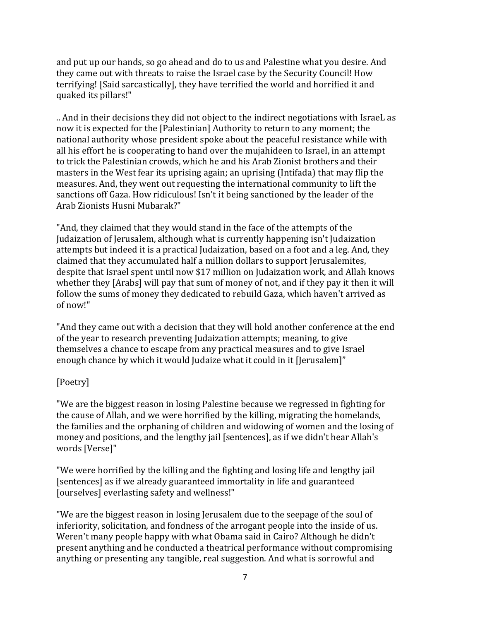and put up our hands, so go ahead and do to us and Palestine what you desire. And they came out with threats to raise the Israel case by the Security Council! How terrifying! [Said sarcastically], they have terrified the world and horrified it and quaked its pillars!"

.. And in their decisions they did not object to the indirect negotiations with IsraeL as now it is expected for the [Palestinian] Authority to return to any moment; the national authority whose president spoke about the peaceful resistance while with all his effort he is cooperating to hand over the mujahideen to Israel, in an attempt to trick the Palestinian crowds, which he and his Arab Zionist brothers and their masters in the West fear its uprising again; an uprising (Intifada) that may flip the measures. And, they went out requesting the international community to lift the sanctions off Gaza. How ridiculous! Isn't it being sanctioned by the leader of the Arab Zionists Husni Mubarak?"

"And, they claimed that they would stand in the face of the attempts of the Judaization of Jerusalem, although what is currently happening isn't Judaization attempts but indeed it is a practical Judaization, based on a foot and a leg. And, they claimed that they accumulated half a million dollars to support Jerusalemites, despite that Israel spent until now \$17 million on Judaization work, and Allah knows whether they [Arabs] will pay that sum of money of not, and if they pay it then it will follow the sums of money they dedicated to rebuild Gaza, which haven't arrived as of now!"

"And they came out with a decision that they will hold another conference at the end of the year to research preventing Judaization attempts; meaning, to give themselves a chance to escape from any practical measures and to give Israel enough chance by which it would Judaize what it could in it [Jerusalem]"

# [Poetry]

"We are the biggest reason in losing Palestine because we regressed in fighting for the cause of Allah, and we were horrified by the killing, migrating the homelands, the families and the orphaning of children and widowing of women and the losing of money and positions, and the lengthy jail [sentences], as if we didn't hear Allah's words [Verse]"

"We were horrified by the killing and the fighting and losing life and lengthy jail [sentences] as if we already guaranteed immortality in life and guaranteed [ourselves] everlasting safety and wellness!"

"We are the biggest reason in losing Jerusalem due to the seepage of the soul of inferiority, solicitation, and fondness of the arrogant people into the inside of us. Weren't many people happy with what Obama said in Cairo? Although he didn't present anything and he conducted a theatrical performance without compromising anything or presenting any tangible, real suggestion. And what is sorrowful and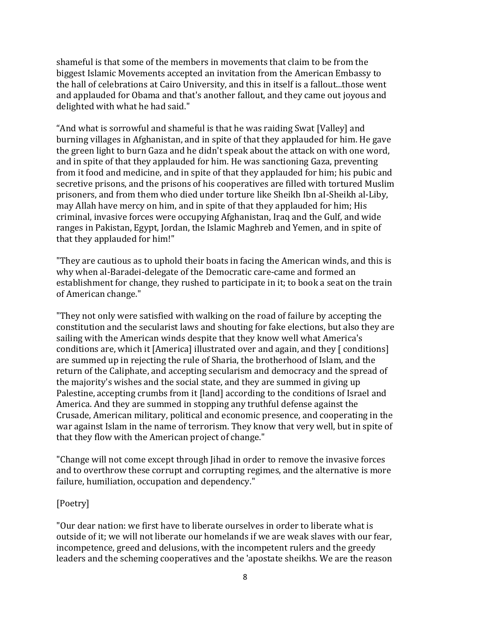shameful is that some of the members in movements that claim to be from the biggest Islamic Movements accepted an invitation from the American Embassy to the hall of celebrations at Cairo University, and this in itself is a fallout...those went and applauded for Obama and that's another fallout, and they came out joyous and delighted with what he had said."

"And what is sorrowful and shameful is that he was raiding Swat [Valley] and burning villages in Afghanistan, and in spite of that they applauded for him. He gave the green light to burn Gaza and he didn't speak about the attack on with one word, and in spite of that they applauded for him. He was sanctioning Gaza, preventing from it food and medicine, and in spite of that they applauded for him; his pubic and secretive prisons, and the prisons of his cooperatives are filled with tortured Muslim prisoners, and from them who died under torture like Sheikh Ibn aI-Sheikh al-Liby, may Allah have mercy on him, and in spite of that they applauded for him; His criminal, invasive forces were occupying Afghanistan, Iraq and the Gulf, and wide ranges in Pakistan, Egypt, Jordan, the Islamic Maghreb and Yemen, and in spite of that they applauded for him!"

"They are cautious as to uphold their boats in facing the American winds, and this is why when al-Baradei-delegate of the Democratic care-came and formed an establishment for change, they rushed to participate in it; to book a seat on the train of American change."

"They not only were satisfied with walking on the road of failure by accepting the constitution and the secularist laws and shouting for fake elections, but also they are sailing with the American winds despite that they know well what America's conditions are, which it [America] illustrated over and again, and they [ conditions] are summed up in rejecting the rule of Sharia, the brotherhood of Islam, and the return of the Caliphate, and accepting secularism and democracy and the spread of the majority's wishes and the social state, and they are summed in giving up Palestine, accepting crumbs from it [land] according to the conditions of Israel and America. And they are summed in stopping any truthful defense against the Crusade, American military, political and economic presence, and cooperating in the war against Islam in the name of terrorism. They know that very well, but in spite of that they flow with the American project of change."

"Change will not come except through Jihad in order to remove the invasive forces and to overthrow these corrupt and corrupting regimes, and the alternative is more failure, humiliation, occupation and dependency."

### [Poetry]

"Our dear nation: we first have to liberate ourselves in order to liberate what is outside of it; we will not liberate our homelands if we are weak slaves with our fear, incompetence, greed and delusions, with the incompetent rulers and the greedy leaders and the scheming cooperatives and the 'apostate sheikhs. We are the reason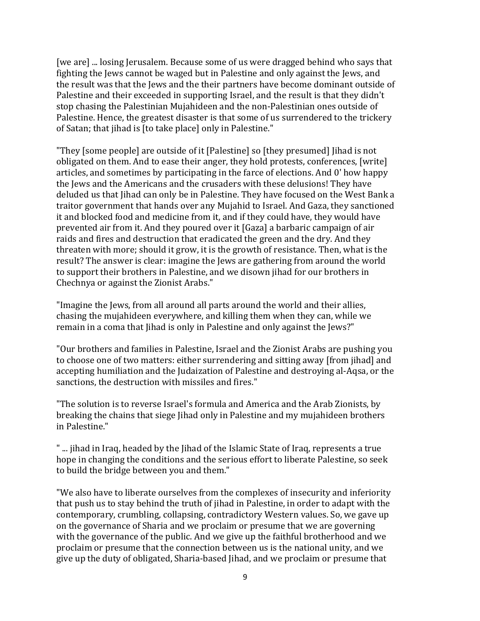[we are] ... losing Jerusalem. Because some of us were dragged behind who says that fighting the Jews cannot be waged but in Palestine and only against the Jews, and the result was that the Jews and the their partners have become dominant outside of Palestine and their exceeded in supporting Israel, and the result is that they didn't stop chasing the Palestinian Mujahideen and the non-Palestinian ones outside of Palestine. Hence, the greatest disaster is that some of us surrendered to the trickery of Satan; that jihad is [to take place] only in Palestine."

"They [some people] are outside of it [Palestine] so [they presumed] Jihad is not obligated on them. And to ease their anger, they hold protests, conferences, [write] articles, and sometimes by participating in the farce of elections. And 0' how happy the Jews and the Americans and the crusaders with these delusions! They have deluded us that Jihad can only be in Palestine. They have focused on the West Bank a traitor government that hands over any Mujahid to Israel. And Gaza, they sanctioned it and blocked food and medicine from it, and if they could have, they would have prevented air from it. And they poured over it [Gaza] a barbaric campaign of air raids and fires and destruction that eradicated the green and the dry. And they threaten with more; should it grow, it is the growth of resistance. Then, what is the result? The answer is clear: imagine the Jews are gathering from around the world to support their brothers in Palestine, and we disown jihad for our brothers in Chechnya or against the Zionist Arabs."

"Imagine the Jews, from all around all parts around the world and their allies, chasing the mujahideen everywhere, and killing them when they can, while we remain in a coma that Jihad is only in Palestine and only against the Jews?"

"Our brothers and families in Palestine, Israel and the Zionist Arabs are pushing you to choose one of two matters: either surrendering and sitting away [from jihad] and accepting humiliation and the Judaization of Palestine and destroying al-Aqsa, or the sanctions, the destruction with missiles and fires."

"The solution is to reverse Israel's formula and America and the Arab Zionists, by breaking the chains that siege Jihad only in Palestine and my mujahideen brothers in Palestine."

" ... jihad in Iraq, headed by the Jihad of the Islamic State of Iraq, represents a true hope in changing the conditions and the serious effort to liberate Palestine, so seek to build the bridge between you and them."

"We also have to liberate ourselves from the complexes of insecurity and inferiority that push us to stay behind the truth of jihad in Palestine, in order to adapt with the contemporary, crumbling, collapsing, contradictory Western values. So, we gave up on the governance of Sharia and we proclaim or presume that we are governing with the governance of the public. And we give up the faithful brotherhood and we proclaim or presume that the connection between us is the national unity, and we give up the duty of obligated, Sharia-based Jihad, and we proclaim or presume that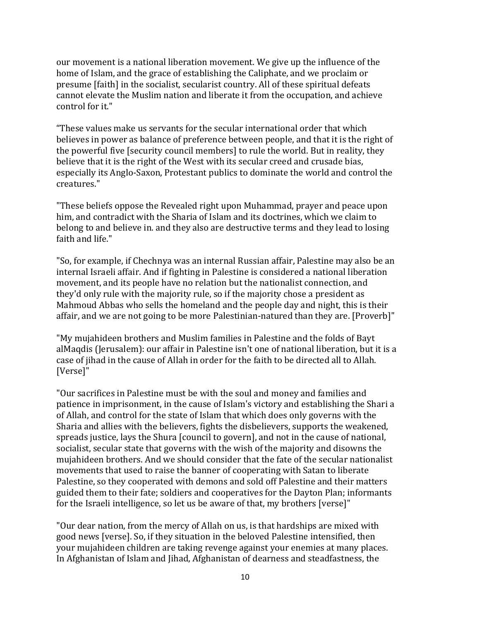our movement is a national liberation movement. We give up the influence of the home of Islam, and the grace of establishing the Caliphate, and we proclaim or presume [faith] in the socialist, secularist country. All of these spiritual defeats cannot elevate the Muslim nation and liberate it from the occupation, and achieve control for it."

"These values make us servants for the secular international order that which believes in power as balance of preference between people, and that it is the right of the powerful five [security council members] to rule the world. But in reality, they believe that it is the right of the West with its secular creed and crusade bias, especially its Anglo-Saxon, Protestant publics to dominate the world and control the creatures."

"These beliefs oppose the Revealed right upon Muhammad, prayer and peace upon him, and contradict with the Sharia of Islam and its doctrines, which we claim to belong to and believe in. and they also are destructive terms and they lead to losing faith and life."

"So, for example, if Chechnya was an internal Russian affair, Palestine may also be an internal Israeli affair. And if fighting in Palestine is considered a national liberation movement, and its people have no relation but the nationalist connection, and they'd only rule with the majority rule, so if the majority chose a president as Mahmoud Abbas who sells the homeland and the people day and night, this is their affair, and we are not going to be more Palestinian-natured than they are. [Proverb]"

"My mujahideen brothers and Muslim families in Palestine and the folds of Bayt alMaqdis (Jerusalem): our affair in Palestine isn't one of national liberation, but it is a case of jihad in the cause of Allah in order for the faith to be directed all to Allah. [Verse]"

"Our sacrifices in Palestine must be with the soul and money and families and patience in imprisonment, in the cause of Islam's victory and establishing the Shari a of Allah, and control for the state of Islam that which does only governs with the Sharia and allies with the believers, fights the disbelievers, supports the weakened, spreads justice, lays the Shura [council to govern], and not in the cause of national, socialist, secular state that governs with the wish of the majority and disowns the mujahideen brothers. And we should consider that the fate of the secular nationalist movements that used to raise the banner of cooperating with Satan to liberate Palestine, so they cooperated with demons and sold off Palestine and their matters guided them to their fate; soldiers and cooperatives for the Dayton Plan; informants for the Israeli intelligence, so let us be aware of that, my brothers [verse]"

"Our dear nation, from the mercy of Allah on us, is that hardships are mixed with good news [verse]. So, if they situation in the beloved Palestine intensified, then your mujahideen children are taking revenge against your enemies at many places. In Afghanistan of Islam and Jihad, Afghanistan of dearness and steadfastness, the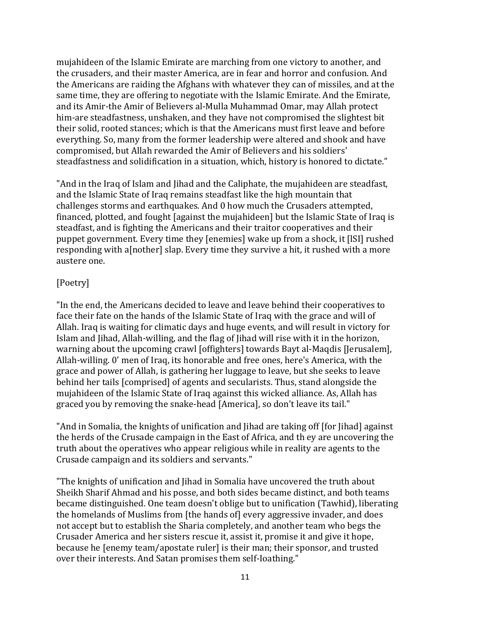mujahideen of the Islamic Emirate are marching from one victory to another, and the crusaders, and their master America, are in fear and horror and confusion. And the Americans are raiding the Afghans with whatever they can of missiles, and at the same time, they are offering to negotiate with the Islamic Emirate. And the Emirate, and its Amir-the Amir of Believers al-Mulla Muhammad Omar, may Allah protect him-are steadfastness, unshaken, and they have not compromised the slightest bit their solid, rooted stances; which is that the Americans must first leave and before everything. So, many from the former leadership were altered and shook and have compromised, but Allah rewarded the Amir of Believers and his soldiers' steadfastness and solidification in a situation, which, history is honored to dictate."

"And in the Iraq of Islam and Jihad and the Caliphate, the mujahideen are steadfast, and the Islamic State of Iraq remains steadfast like the high mountain that challenges storms and earthquakes. And 0 how much the Crusaders attempted, financed, plotted, and fought [against the mujahideen] but the Islamic State of Iraq is steadfast, and is fighting the Americans and their traitor cooperatives and their puppet government. Every time they [enemies] wake up from a shock, it [lSI] rushed responding with a[nother] slap. Every time they survive a hit, it rushed with a more austere one.

### [Poetry]

"In the end, the Americans decided to leave and leave behind their cooperatives to face their fate on the hands of the Islamic State of Iraq with the grace and will of Allah. Iraq is waiting for climatic days and huge events, and will result in victory for Islam and Jihad, Allah-willing, and the flag of Jihad will rise with it in the horizon, warning about the upcoming crawl [offighters] towards Bayt al-Maqdis [Jerusalem], Allah-willing. 0' men of Iraq, its honorable and free ones, here's America, with the grace and power of Allah, is gathering her luggage to leave, but she seeks to leave behind her tails [comprised] of agents and secularists. Thus, stand alongside the mujahideen of the Islamic State of Iraq against this wicked alliance. As, Allah has graced you by removing the snake-head [America], so don't leave its tail."

"And in Somalia, the knights of unification and Jihad are taking off [for Jihad] against the herds of the Crusade campaign in the East of Africa, and th ey are uncovering the truth about the operatives who appear religious while in reality are agents to the Crusade campaign and its soldiers and servants."

"The knights of unification and Jihad in Somalia have uncovered the truth about Sheikh Sharif Ahmad and his posse, and both sides became distinct, and both teams became distinguished. One team doesn't oblige but to unification (Tawhid), liberating the homelands of Muslims from [the hands of] every aggressive invader, and does not accept but to establish the Sharia completely, and another team who begs the Crusader America and her sisters rescue it, assist it, promise it and give it hope, because he [enemy team/apostate ruler] is their man; their sponsor, and trusted over their interests. And Satan promises them self-Ioathing."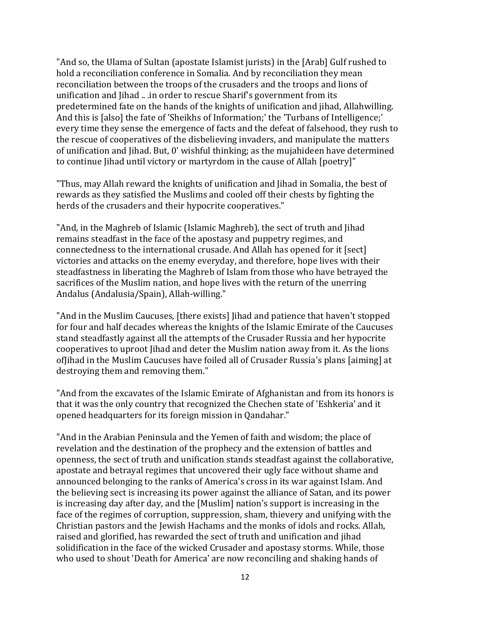"And so, the Ulama of Sultan (apostate Islamist jurists) in the [Arab] Gulf rushed to hold a reconciliation conference in Somalia. And by reconciliation they mean reconciliation between the troops of the crusaders and the troops and lions of unification and Jihad .. .in order to rescue Sharif's government from its predetermined fate on the hands of the knights of unification and jihad, Allahwilling. And this is [also] the fate of 'Sheikhs of Information;' the 'Turbans of Intelligence;' every time they sense the emergence of facts and the defeat of falsehood, they rush to the rescue of cooperatives of the disbelieving invaders, and manipulate the matters of unification and Jihad. But, 0' wishful thinking; as the mujahideen have determined to continue Jihad until victory or martyrdom in the cause of Allah [poetry]"

"Thus, may Allah reward the knights of unification and Jihad in Somalia, the best of rewards as they satisfied the Muslims and cooled off their chests by fighting the herds of the crusaders and their hypocrite cooperatives."

"And, in the Maghreb of Islamic (Islamic Maghreb), the sect of truth and Jihad remains steadfast in the face of the apostasy and puppetry regimes, and connectedness to the international crusade. And Allah has opened for it [sect] victories and attacks on the enemy everyday, and therefore, hope lives with their steadfastness in liberating the Maghreb of Islam from those who have betrayed the sacrifices of the Muslim nation, and hope lives with the return of the unerring Andalus (Andalusia/Spain), Allah-willing."

"And in the Muslim Caucuses, [there exists] Jihad and patience that haven't stopped for four and half decades whereas the knights of the Islamic Emirate of the Caucuses stand steadfastly against all the attempts of the Crusader Russia and her hypocrite cooperatives to uproot Jihad and deter the Muslim nation away from it. As the lions of [ihad in the Muslim Caucuses have foiled all of Crusader Russia's plans [aiming] at destroying them and removing them."

"And from the excavates of the Islamic Emirate of Afghanistan and from its honors is that it was the only country that recognized the Chechen state of 'Eshkeria' and it opened headquarters for its foreign mission in Qandahar."

"And in the Arabian Peninsula and the Yemen of faith and wisdom; the place of revelation and the destination of the prophecy and the extension of battles and openness, the sect of truth and unification stands steadfast against the collaborative, apostate and betrayal regimes that uncovered their ugly face without shame and announced belonging to the ranks of America's cross in its war against Islam. And the believing sect is increasing its power against the alliance of Satan, and its power is increasing day after day, and the [Muslim] nation's support is increasing in the face of the regimes of corruption, suppression, sham, thievery and unifying with the Christian pastors and the Jewish Hachams and the monks of idols and rocks. Allah, raised and glorified, has rewarded the sect of truth and unification and jihad solidification in the face of the wicked Crusader and apostasy storms. While, those who used to shout 'Death for America' are now reconciling and shaking hands of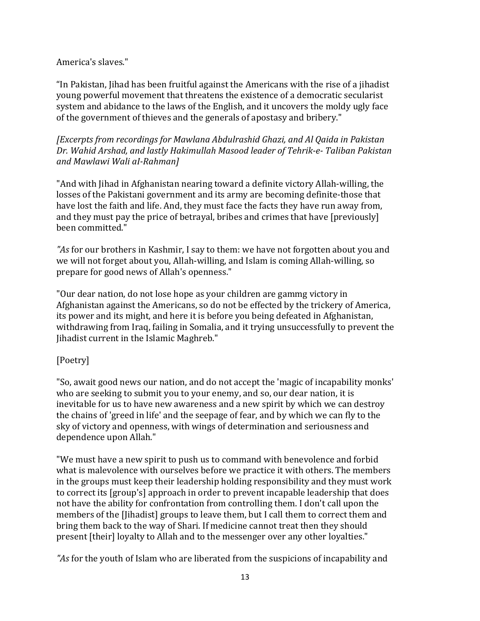### America's slaves."

"In Pakistan, Jihad has been fruitful against the Americans with the rise of a jihadist young powerful movement that threatens the existence of a democratic secularist system and abidance to the laws of the English, and it uncovers the moldy ugly face of the government of thieves and the generals of apostasy and bribery."

*[Excerpts from recordings for Mawlana Abdulrashid Ghazi, and Al Qaida in Pakistan Dr. Wahid Arshad, and lastly Hakimullah Masood leader of Tehrik-e- Taliban Pakistan and Mawlawi Wali aI-Rahman]*

"And with Jihad in Afghanistan nearing toward a definite victory Allah-willing, the losses of the Pakistani government and its army are becoming definite-those that have lost the faith and life. And, they must face the facts they have run away from, and they must pay the price of betrayal, bribes and crimes that have [previously] been committed."

*"As* for our brothers in Kashmir, I say to them: we have not forgotten about you and we will not forget about you, Allah-willing, and Islam is coming Allah-willing, so prepare for good news of Allah's openness."

"Our dear nation, do not lose hope as your children are gammg victory in Afghanistan against the Americans, so do not be effected by the trickery of America, its power and its might, and here it is before you being defeated in Afghanistan, withdrawing from Iraq, failing in Somalia, and it trying unsuccessfully to prevent the Jihadist current in the Islamic Maghreb."

# [Poetry]

"So, await good news our nation, and do not accept the 'magic of incapability monks' who are seeking to submit you to your enemy, and so, our dear nation, it is inevitable for us to have new awareness and a new spirit by which we can destroy the chains of 'greed in life' and the seepage of fear, and by which we can fly to the sky of victory and openness, with wings of determination and seriousness and dependence upon Allah."

"We must have a new spirit to push us to command with benevolence and forbid what is malevolence with ourselves before we practice it with others. The members in the groups must keep their leadership holding responsibility and they must work to correct its [group's] approach in order to prevent incapable leadership that does not have the ability for confrontation from controlling them. I don't call upon the members of the [Jihadist] groups to leave them, but I call them to correct them and bring them back to the way of Shari. If medicine cannot treat then they should present [their] loyalty to Allah and to the messenger over any other loyalties."

*"As* for the youth of Islam who are liberated from the suspicions of incapability and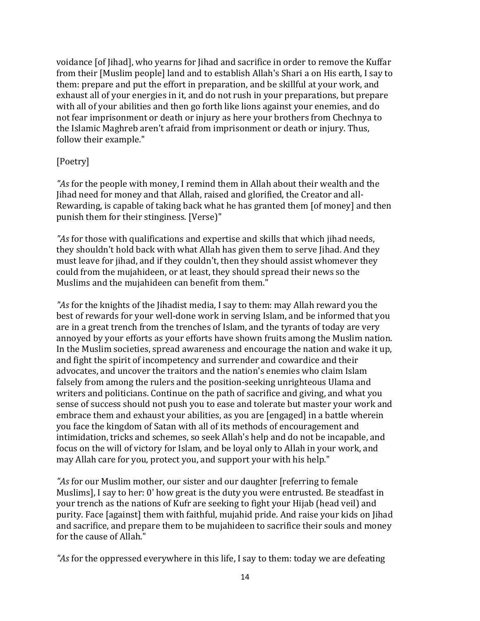voidance [of Jihad], who yearns for Jihad and sacrifice in order to remove the Kuffar from their [Muslim people] land and to establish Allah's Shari a on His earth, I say to them: prepare and put the effort in preparation, and be skillful at your work, and exhaust all of your energies in it, and do not rush in your preparations, but prepare with all of your abilities and then go forth like lions against your enemies, and do not fear imprisonment or death or injury as here your brothers from Chechnya to the Islamic Maghreb aren't afraid from imprisonment or death or injury. Thus, follow their example."

### [Poetry]

*"As* for the people with money, I remind them in Allah about their wealth and the Jihad need for money and that Allah, raised and glorified, the Creator and all-Rewarding, is capable of taking back what he has granted them [of money] and then punish them for their stinginess. [Verse)"

*"As* for those with qualifications and expertise and skills that which jihad needs, they shouldn't hold back with what Allah has given them to serve Jihad. And they must leave for jihad, and if they couldn't, then they should assist whomever they could from the mujahideen, or at least, they should spread their news so the Muslims and the mujahideen can benefit from them."

*"As* for the knights of the Jihadist media, I say to them: may Allah reward you the best of rewards for your well-done work in serving Islam, and be informed that you are in a great trench from the trenches of Islam, and the tyrants of today are very annoyed by your efforts as your efforts have shown fruits among the Muslim nation. In the Muslim societies, spread awareness and encourage the nation and wake it up, and fight the spirit of incompetency and surrender and cowardice and their advocates, and uncover the traitors and the nation's enemies who claim Islam falsely from among the rulers and the position-seeking unrighteous Ulama and writers and politicians. Continue on the path of sacrifice and giving, and what you sense of success should not push you to ease and tolerate but master your work and embrace them and exhaust your abilities, as you are [engaged] in a battle wherein you face the kingdom of Satan with all of its methods of encouragement and intimidation, tricks and schemes, so seek Allah's help and do not be incapable, and focus on the will of victory for Islam, and be loyal only to Allah in your work, and may Allah care for you, protect you, and support your with his help."

*"As* for our Muslim mother, our sister and our daughter [referring to female Muslims], I say to her: 0' how great is the duty you were entrusted. Be steadfast in your trench as the nations of Kufr are seeking to fight your Hijab (head veil) and purity. Face [against] them with faithful, mujahid pride. And raise your kids on Jihad and sacrifice, and prepare them to be mujahideen to sacrifice their souls and money for the cause of Allah."

*"As* for the oppressed everywhere in this life, I say to them: today we are defeating